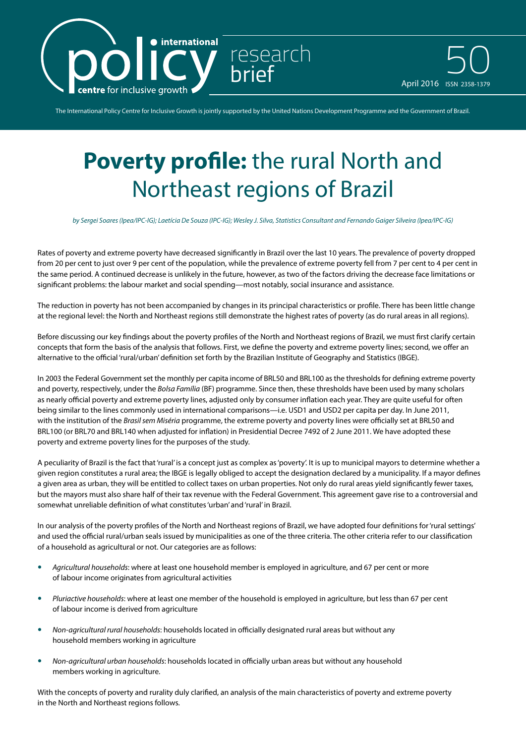

April 2016 ISSN 2358-1379 50

The International Policy Centre for Inclusive Growth is jointly supported by the United Nations Development Programme and the Government of Brazil.

research

## **Poverty profile:** the rural North and Northeast regions of Brazil

*by Sergei Soares (Ipea/IPC-IG); Laetícia De Souza (IPC-IG); Wesley J. Silva, Statistics Consultant and Fernando Gaiger Silveira (Ipea/IPC-IG)*

Rates of poverty and extreme poverty have decreased significantly in Brazil over the last 10 years. The prevalence of poverty dropped from 20 per cent to just over 9 per cent of the population, while the prevalence of extreme poverty fell from 7 per cent to 4 per cent in the same period. A continued decrease is unlikely in the future, however, as two of the factors driving the decrease face limitations or significant problems: the labour market and social spending—most notably, social insurance and assistance.

The reduction in poverty has not been accompanied by changes in its principal characteristics or profile. There has been little change at the regional level: the North and Northeast regions still demonstrate the highest rates of poverty (as do rural areas in all regions).

Before discussing our key findings about the poverty profiles of the North and Northeast regions of Brazil, we must first clarify certain concepts that form the basis of the analysis that follows. First, we define the poverty and extreme poverty lines; second, we offer an alternative to the official 'rural/urban' definition set forth by the Brazilian Institute of Geography and Statistics (IBGE).

In 2003 the Federal Government set the monthly per capita income of BRL50 and BRL100 as the thresholds for defining extreme poverty and poverty, respectively, under the *Bolsa Família* (BF) programme. Since then, these thresholds have been used by many scholars as nearly official poverty and extreme poverty lines, adjusted only by consumer inflation each year. They are quite useful for often being similar to the lines commonly used in international comparisons—i.e. USD1 and USD2 per capita per day. In June 2011, with the institution of the *Brasil sem Miséria* programme, the extreme poverty and poverty lines were officially set at BRL50 and BRL100 (or BRL70 and BRL140 when adjusted for inflation) in Presidential Decree 7492 of 2 June 2011. We have adopted these poverty and extreme poverty lines for the purposes of the study.

A peculiarity of Brazil is the fact that 'rural' is a concept just as complex as 'poverty'. It is up to municipal mayors to determine whether a given region constitutes a rural area; the IBGE is legally obliged to accept the designation declared by a municipality. If a mayor defines a given area as urban, they will be entitled to collect taxes on urban properties. Not only do rural areas yield significantly fewer taxes. but the mayors must also share half of their tax revenue with the Federal Government. This agreement gave rise to a controversial and somewhat unreliable definition of what constitutes 'urban' and 'rural' in Brazil.

In our analysis of the poverty profiles of the North and Northeast regions of Brazil, we have adopted four definitions for 'rural settings' and used the official rural/urban seals issued by municipalities as one of the three criteria. The other criteria refer to our classification of a household as agricultural or not. Our categories are as follows:

- y *Agricultural households*: where at least one household member is employed in agriculture, and 67 per cent or more of labour income originates from agricultural activities
- y *Pluriactive households*: where at least one member of the household is employed in agriculture, but less than 67 per cent of labour income is derived from agriculture
- Non-agricultural rural households: households located in officially designated rural areas but without any household members working in agriculture
- **•** Non-agricultural urban households: households located in officially urban areas but without any household members working in agriculture.

With the concepts of poverty and rurality duly clarified, an analysis of the main characteristics of poverty and extreme poverty in the North and Northeast regions follows.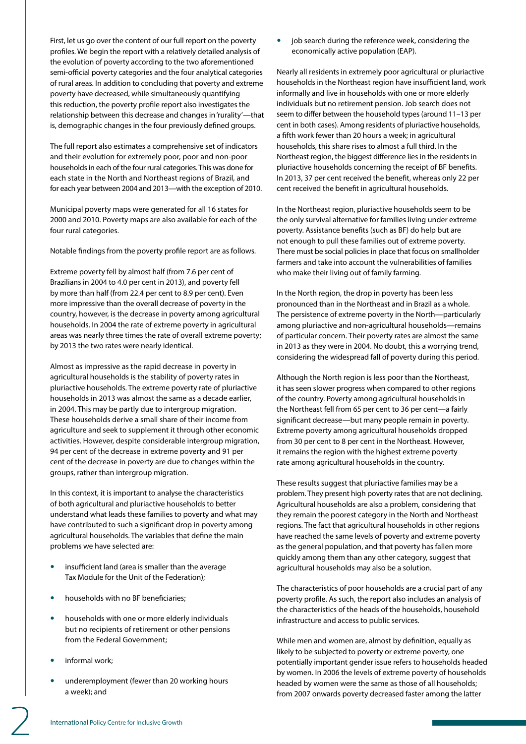First, let us go over the content of our full report on the poverty profiles. We begin the report with a relatively detailed analysis of the evolution of poverty according to the two aforementioned semi-official poverty categories and the four analytical categories of rural areas. In addition to concluding that poverty and extreme poverty have decreased, while simultaneously quantifying this reduction, the poverty profile report also investigates the relationship between this decrease and changes in 'rurality'—that is, demographic changes in the four previously defined groups.

The full report also estimates a comprehensive set of indicators and their evolution for extremely poor, poor and non-poor households in each of the four rural categories. This was done for each state in the North and Northeast regions of Brazil, and for each year between 2004 and 2013—with the exception of 2010.

Municipal poverty maps were generated for all 16 states for 2000 and 2010. Poverty maps are also available for each of the four rural categories.

Notable findings from the poverty profile report are as follows.

Extreme poverty fell by almost half (from 7.6 per cent of Brazilians in 2004 to 4.0 per cent in 2013), and poverty fell by more than half (from 22.4 per cent to 8.9 per cent). Even more impressive than the overall decrease of poverty in the country, however, is the decrease in poverty among agricultural households. In 2004 the rate of extreme poverty in agricultural areas was nearly three times the rate of overall extreme poverty; by 2013 the two rates were nearly identical.

Almost as impressive as the rapid decrease in poverty in agricultural households is the stability of poverty rates in pluriactive households. The extreme poverty rate of pluriactive households in 2013 was almost the same as a decade earlier, in 2004. This may be partly due to intergroup migration. These households derive a small share of their income from agriculture and seek to supplement it through other economic activities. However, despite considerable intergroup migration, 94 per cent of the decrease in extreme poverty and 91 per cent of the decrease in poverty are due to changes within the groups, rather than intergroup migration.

In this context, it is important to analyse the characteristics of both agricultural and pluriactive households to better understand what leads these families to poverty and what may have contributed to such a significant drop in poverty among agricultural households. The variables that define the main problems we have selected are:

- insufficient land (area is smaller than the average Tax Module for the Unit of the Federation);
- households with no BF beneficiaries:
- households with one or more elderly individuals but no recipients of retirement or other pensions from the Federal Government;
- informal work;
- underemployment (fewer than 20 working hours a week); and

job search during the reference week, considering the economically active population (EAP).

Nearly all residents in extremely poor agricultural or pluriactive households in the Northeast region have insufficient land, work informally and live in households with one or more elderly individuals but no retirement pension. Job search does not seem to differ between the household types (around 11–13 per cent in both cases). Among residents of pluriactive households, a fifth work fewer than 20 hours a week; in agricultural households, this share rises to almost a full third. In the Northeast region, the biggest difference lies in the residents in pluriactive households concerning the receipt of BF benefits. In 2013, 37 per cent received the benefit, whereas only 22 per cent received the benefit in agricultural households.

In the Northeast region, pluriactive households seem to be the only survival alternative for families living under extreme poverty. Assistance benefits (such as BF) do help but are not enough to pull these families out of extreme poverty. There must be social policies in place that focus on smallholder farmers and take into account the vulnerabilities of families who make their living out of family farming.

In the North region, the drop in poverty has been less pronounced than in the Northeast and in Brazil as a whole. The persistence of extreme poverty in the North—particularly among pluriactive and non-agricultural households—remains of particular concern. Their poverty rates are almost the same in 2013 as they were in 2004. No doubt, this a worrying trend, considering the widespread fall of poverty during this period.

Although the North region is less poor than the Northeast, it has seen slower progress when compared to other regions of the country. Poverty among agricultural households in the Northeast fell from 65 per cent to 36 per cent—a fairly significant decrease—but many people remain in poverty. Extreme poverty among agricultural households dropped from 30 per cent to 8 per cent in the Northeast. However, it remains the region with the highest extreme poverty rate among agricultural households in the country.

These results suggest that pluriactive families may be a problem. They present high poverty rates that are not declining. Agricultural households are also a problem, considering that they remain the poorest category in the North and Northeast regions. The fact that agricultural households in other regions have reached the same levels of poverty and extreme poverty as the general population, and that poverty has fallen more quickly among them than any other category, suggest that agricultural households may also be a solution.

The characteristics of poor households are a crucial part of any poverty profile. As such, the report also includes an analysis of the characteristics of the heads of the households, household infrastructure and access to public services.

While men and women are, almost by definition, equally as likely to be subjected to poverty or extreme poverty, one potentially important gender issue refers to households headed by women. In 2006 the levels of extreme poverty of households headed by women were the same as those of all households; from 2007 onwards poverty decreased faster among the latter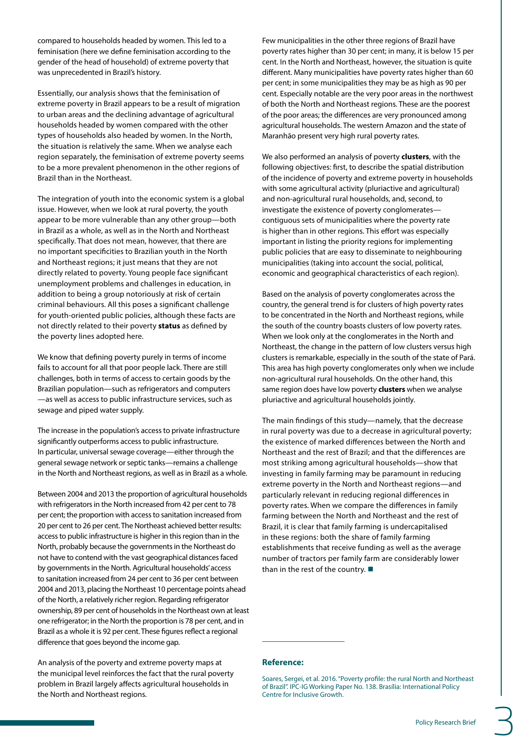compared to households headed by women. This led to a feminisation (here we define feminisation according to the gender of the head of household) of extreme poverty that was unprecedented in Brazil's history.

Essentially, our analysis shows that the feminisation of extreme poverty in Brazil appears to be a result of migration to urban areas and the declining advantage of agricultural households headed by women compared with the other types of households also headed by women. In the North, the situation is relatively the same. When we analyse each region separately, the feminisation of extreme poverty seems to be a more prevalent phenomenon in the other regions of Brazil than in the Northeast.

The integration of youth into the economic system is a global issue. However, when we look at rural poverty, the youth appear to be more vulnerable than any other group—both in Brazil as a whole, as well as in the North and Northeast specifically. That does not mean, however, that there are no important specificities to Brazilian youth in the North and Northeast regions; it just means that they are not directly related to poverty. Young people face significant unemployment problems and challenges in education, in addition to being a group notoriously at risk of certain criminal behaviours. All this poses a significant challenge for youth-oriented public policies, although these facts are not directly related to their poverty **status** as defined by the poverty lines adopted here.

We know that defining poverty purely in terms of income fails to account for all that poor people lack. There are still challenges, both in terms of access to certain goods by the Brazilian population—such as refrigerators and computers —as well as access to public infrastructure services, such as sewage and piped water supply.

The increase in the population's access to private infrastructure significantly outperforms access to public infrastructure. In particular, universal sewage coverage—either through the general sewage network or septic tanks—remains a challenge in the North and Northeast regions, as well as in Brazil as a whole.

Between 2004 and 2013 the proportion of agricultural households with refrigerators in the North increased from 42 per cent to 78 per cent; the proportion with access to sanitation increased from 20 per cent to 26 per cent. The Northeast achieved better results: access to public infrastructure is higher in this region than in the North, probably because the governments in the Northeast do not have to contend with the vast geographical distances faced by governments in the North. Agricultural households' access to sanitation increased from 24 per cent to 36 per cent between 2004 and 2013, placing the Northeast 10 percentage points ahead of the North, a relatively richer region. Regarding refrigerator ownership, 89 per cent of households in the Northeast own at least one refrigerator; in the North the proportion is 78 per cent, and in Brazil as a whole it is 92 per cent. These figures reflect a regional difference that goes beyond the income gap.

An analysis of the poverty and extreme poverty maps at the municipal level reinforces the fact that the rural poverty problem in Brazil largely affects agricultural households in the North and Northeast regions.

Few municipalities in the other three regions of Brazil have poverty rates higher than 30 per cent; in many, it is below 15 per cent. In the North and Northeast, however, the situation is quite different. Many municipalities have poverty rates higher than 60 per cent; in some municipalities they may be as high as 90 per cent. Especially notable are the very poor areas in the northwest of both the North and Northeast regions. These are the poorest of the poor areas; the differences are very pronounced among agricultural households. The western Amazon and the state of Maranhão present very high rural poverty rates.

We also performed an analysis of poverty **clusters**, with the following objectives: first, to describe the spatial distribution of the incidence of poverty and extreme poverty in households with some agricultural activity (pluriactive and agricultural) and non-agricultural rural households, and, second, to investigate the existence of poverty conglomerates contiguous sets of municipalities where the poverty rate is higher than in other regions. This effort was especially important in listing the priority regions for implementing public policies that are easy to disseminate to neighbouring municipalities (taking into account the social, political, economic and geographical characteristics of each region).

Based on the analysis of poverty conglomerates across the country, the general trend is for clusters of high poverty rates to be concentrated in the North and Northeast regions, while the south of the country boasts clusters of low poverty rates. When we look only at the conglomerates in the North and Northeast, the change in the pattern of low clusters versus high clusters is remarkable, especially in the south of the state of Pará. This area has high poverty conglomerates only when we include non-agricultural rural households. On the other hand, this same region does have low poverty **clusters** when we analyse pluriactive and agricultural households jointly.

The main findings of this study—namely, that the decrease in rural poverty was due to a decrease in agricultural poverty; the existence of marked differences between the North and Northeast and the rest of Brazil; and that the differences are most striking among agricultural households—show that investing in family farming may be paramount in reducing extreme poverty in the North and Northeast regions—and particularly relevant in reducing regional differences in poverty rates. When we compare the differences in family farming between the North and Northeast and the rest of Brazil, it is clear that family farming is undercapitalised in these regions: both the share of family farming establishments that receive funding as well as the average number of tractors per family farm are considerably lower than in the rest of the country.

## **Reference:**

3

Soares, Sergei, et al. 2016. "Poverty profile: the rural North and Northeast of Brazil". IPC-IG Working Paper No. 138. Brasília: International Policy Centre for Inclusive Growth.